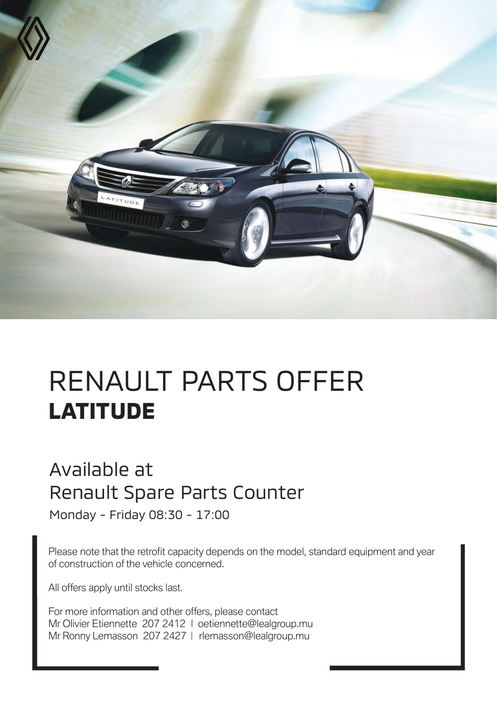

## RENAULT PARTS OFFER **LATITUDE**

## Available at Renault Spare Parts Counter

Monday - Friday 08:30 - 17:00

Please note that the retrofit capacity depends on the model, standard equipment and year of construction of the vehicle concerned.

All offers apply until stocks last.

For more information and other offers, please contact Mr Olivier Etiennette 207 2412 | oetiennette@lealgroup.mu Mr Ronny Lemasson 207 2427 | rlemasson@lealgroup.mu